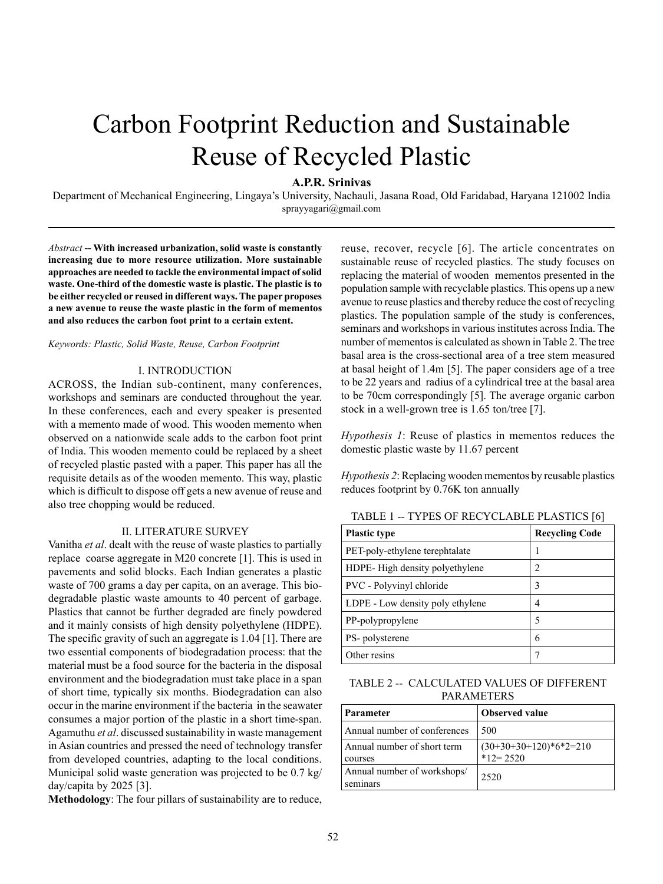# Carbon Footprint Reduction and Sustainable Reuse of Recycled Plastic

## **A.P.R. Srinivas**

Department of Mechanical Engineering, Lingaya's University, Nachauli, Jasana Road, Old Faridabad, Haryana 121002 India sprayyagari@gmail.com

*Abstract* **-- With increased urbanization, solid waste is constantly increasing due to more resource utilization. More sustainable approaches are needed to tackle the environmental impact of solid waste. One-third of the domestic waste is plastic. The plastic is to be either recycled or reused in different ways. The paper proposes a new avenue to reuse the waste plastic in the form of mementos and also reduces the carbon foot print to a certain extent.**

#### *Keywords: Plastic, Solid Waste, Reuse, Carbon Footprint*

#### I. INTRODUCTION

ACROSS, the Indian sub-continent, many conferences, workshops and seminars are conducted throughout the year. In these conferences, each and every speaker is presented with a memento made of wood. This wooden memento when observed on a nationwide scale adds to the carbon foot print of India. This wooden memento could be replaced by a sheet of recycled plastic pasted with a paper. This paper has all the requisite details as of the wooden memento. This way, plastic which is difficult to dispose off gets a new avenue of reuse and also tree chopping would be reduced.

#### II. LITERATURE SURVEY

Vanitha *et al*. dealt with the reuse of waste plastics to partially replace coarse aggregate in M20 concrete [1]. This is used in pavements and solid blocks. Each Indian generates a plastic waste of 700 grams a day per capita, on an average. This biodegradable plastic waste amounts to 40 percent of garbage. Plastics that cannot be further degraded are finely powdered and it mainly consists of high density polyethylene (HDPE). The specific gravity of such an aggregate is 1.04 [1]. There are two essential components of biodegradation process: that the material must be a food source for the bacteria in the disposal environment and the biodegradation must take place in a span of short time, typically six months. Biodegradation can also occur in the marine environment if the bacteria in the seawater consumes a major portion of the plastic in a short time-span. Agamuthu *et al*. discussed sustainability in waste management in Asian countries and pressed the need of technology transfer from developed countries, adapting to the local conditions. Municipal solid waste generation was projected to be 0.7 kg/ day/capita by 2025 [3].

**Methodology**: The four pillars of sustainability are to reduce,

reuse, recover, recycle [6]. The article concentrates on sustainable reuse of recycled plastics. The study focuses on replacing the material of wooden mementos presented in the population sample with recyclable plastics. This opens up a new avenue to reuse plastics and thereby reduce the cost of recycling plastics. The population sample of the study is conferences, seminars and workshops in various institutes across India. The number of mementos is calculated as shown in Table 2. The tree basal area is the cross-sectional area of a tree stem measured at basal height of 1.4m [5]. The paper considers age of a tree to be 22 years and radius of a cylindrical tree at the basal area to be 70cm correspondingly [5]. The average organic carbon stock in a well-grown tree is 1.65 ton/tree [7].

*Hypothesis 1*: Reuse of plastics in mementos reduces the domestic plastic waste by 11.67 percent

*Hypothesis 2*: Replacing wooden mementos by reusable plastics reduces footprint by 0.76K ton annually

| <b>Plastic type</b>              | <b>Recycling Code</b> |
|----------------------------------|-----------------------|
| PET-poly-ethylene terephtalate   |                       |
| HDPE-High density polyethylene   | $\mathfrak{D}$        |
| PVC - Polyvinyl chloride         | 3                     |
| LDPE - Low density poly ethylene | 4                     |
| PP-polypropylene                 | 5                     |
| PS- polysterene                  | 6                     |
| Other resins                     |                       |

TABLE 1 -- TYPES OF RECYCLABLE PLASTICS [6]

TABLE 2 -- CALCULATED VALUES OF DIFFERENT PARAMETERS

| Parameter                               | <b>Observed value</b>                    |
|-----------------------------------------|------------------------------------------|
| Annual number of conferences            | 500                                      |
| Annual number of short term<br>courses  | $(30+30+30+120)*6*2=210$<br>$*12 = 2520$ |
| Annual number of workshops/<br>seminars | 2520                                     |